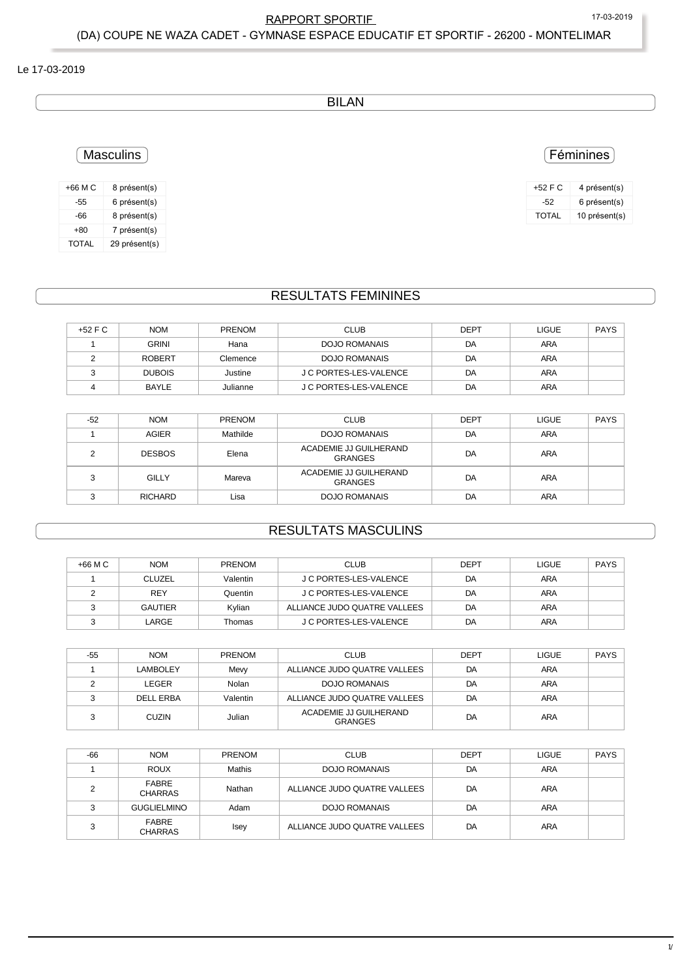$1/2$ 

### RAPPORT SPORTIF 17-03-2019 (DA) COUPE NE WAZA CADET - GYMNASE ESPACE EDUCATIF ET SPORTIF - 26200 - MONTELIMAR

#### Le 17-03-2019

BILAN

## Masculins

| +66 M C | 8 présent(s)  |
|---------|---------------|
| -55     | 6 présent(s)  |
| -66     | 8 présent(s)  |
| $+80$   | 7 présent(s)  |
| TOTAL   | 29 présent(s) |

#### RESULTATS FEMININES

| $+52$ F C | <b>NOM</b>    | <b>PRENOM</b> | <b>CLUB</b>            | <b>DEPT</b> | <b>LIGUE</b> | <b>PAYS</b> |
|-----------|---------------|---------------|------------------------|-------------|--------------|-------------|
|           | GRINI         | Hana          | <b>DOJO ROMANAIS</b>   | DA          | ARA          |             |
|           | <b>ROBERT</b> | Clemence      | <b>DOJO ROMANAIS</b>   | DA          | ARA          |             |
|           | <b>DUBOIS</b> | Justine       | J C PORTES-LES-VALENCE | DA          | ARA          |             |
|           | BAYLE         | Julianne      | J C PORTES-LES-VALENCE | DA          | ARA          |             |

| $-52$ | <b>NOM</b>     | <b>PRENOM</b> | <b>CLUB</b>                              | <b>DEPT</b> | LIGUE      | <b>PAYS</b> |
|-------|----------------|---------------|------------------------------------------|-------------|------------|-------------|
|       | AGIER          | Mathilde      | DOJO ROMANAIS                            | DA          | ARA        |             |
| c     | <b>DESBOS</b>  | Elena         | ACADEMIE JJ GUILHERAND<br>GRANGES        | DA          | <b>ARA</b> |             |
| ∘     | GILLY          | Mareva        | ACADEMIE JJ GUILHERAND<br><b>GRANGES</b> | DA          | <b>ARA</b> |             |
|       | <b>RICHARD</b> | Lisa          | DOJO ROMANAIS                            | DA          | <b>ARA</b> |             |

# RESULTATS MASCULINS

| +66 M C | <b>NOM</b>     | <b>PRENOM</b> | <b>CLUB</b>                  | <b>DEPT</b> | <b>LIGUE</b> | <b>PAYS</b> |
|---------|----------------|---------------|------------------------------|-------------|--------------|-------------|
|         | <b>CLUZEL</b>  | Valentin      | J C PORTES-LES-VALENCE       | DA          | ARA          |             |
|         | <b>REY</b>     | Quentin       | J C PORTES-LES-VALENCE       | DA          | <b>ARA</b>   |             |
|         | <b>GAUTIER</b> | Kvlian        | ALLIANCE JUDO QUATRE VALLEES | DA          | ARA          |             |
|         | LARGE          | Thomas        | J C PORTES-LES-VALENCE       | DA          | <b>ARA</b>   |             |

| -55 | <b>NOM</b>       | <b>PRENOM</b> | <b>CLUB</b>                              | <b>DEPT</b> | <b>LIGUE</b> | <b>PAYS</b> |
|-----|------------------|---------------|------------------------------------------|-------------|--------------|-------------|
|     | LAMBOLEY         | Mevy          | ALLIANCE JUDO QUATRE VALLEES             | DA          | <b>ARA</b>   |             |
|     | LEGER            | Nolan         | DOJO ROMANAIS                            | DA          | <b>ARA</b>   |             |
|     | <b>DELL ERBA</b> | Valentin      | ALLIANCE JUDO QUATRE VALLEES             | DA          | ARA          |             |
| ົ   | <b>CUZIN</b>     | Julian        | ACADEMIE JJ GUILHERAND<br><b>GRANGES</b> | DA          | <b>ARA</b>   |             |

| $-66$ | <b>NOM</b>              | <b>PRENOM</b> | <b>CLUB</b>                  | <b>DEPT</b> | <b>LIGUE</b> | <b>PAYS</b> |
|-------|-------------------------|---------------|------------------------------|-------------|--------------|-------------|
|       | <b>ROUX</b>             | Mathis        | <b>DOJO ROMANAIS</b>         | DA          | ARA          |             |
|       | FABRE<br><b>CHARRAS</b> | Nathan        | ALLIANCE JUDO QUATRE VALLEES | DA          | <b>ARA</b>   |             |
| っ     | <b>GUGLIELMINO</b>      | Adam          | <b>DOJO ROMANAIS</b>         | DA          | ARA          |             |
|       | FABRE<br><b>CHARRAS</b> | Isey          | ALLIANCE JUDO QUATRE VALLEES | DA          | <b>ARA</b>   |             |

### Féminines

| +52 F C | 4 présent(s)  |
|---------|---------------|
| -52     | 6 présent(s)  |
| TOTAI   | 10 présent(s) |